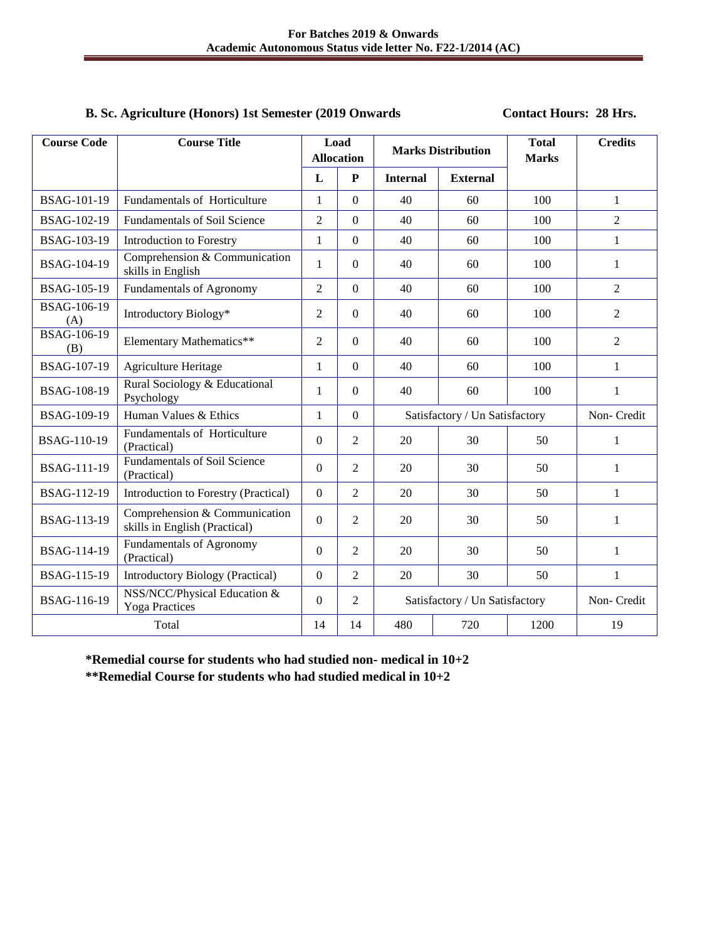# **B. Sc. Agriculture (Honors) 1st Semester (2019 Onwards Contact Hours: 28 Hrs.**

| <b>Course Code</b>        | <b>Course Title</b>                                            | Load<br><b>Allocation</b> |                  | <b>Marks Distribution</b>      |                 | <b>Total</b><br><b>Marks</b> | <b>Credits</b> |
|---------------------------|----------------------------------------------------------------|---------------------------|------------------|--------------------------------|-----------------|------------------------------|----------------|
|                           |                                                                | L                         | ${\bf P}$        | <b>Internal</b>                | <b>External</b> |                              |                |
| <b>BSAG-101-19</b>        | Fundamentals of Horticulture                                   | $\mathbf 1$               | $\Omega$         | 40                             | 60              | 100                          | $\mathbf{1}$   |
| BSAG-102-19               | <b>Fundamentals of Soil Science</b>                            | $\overline{2}$            | $\overline{0}$   | 40                             | 60              | 100                          | $\overline{2}$ |
| <b>BSAG-103-19</b>        | Introduction to Forestry                                       | $\mathbf{1}$              | $\overline{0}$   | 40                             | 60              | 100                          | $\mathbf{1}$   |
| BSAG-104-19               | Comprehension & Communication<br>skills in English             | $\mathbf{1}$              | $\Omega$         | 40                             | 60              | 100                          | $\mathbf{1}$   |
| <b>BSAG-105-19</b>        | <b>Fundamentals of Agronomy</b>                                | $\overline{2}$            | $\boldsymbol{0}$ | 40                             | 60              | 100                          | $\overline{2}$ |
| <b>BSAG-106-19</b><br>(A) | Introductory Biology*                                          | 2                         | $\overline{0}$   | 40                             | 60              | 100                          | 2              |
| <b>BSAG-106-19</b><br>(B) | Elementary Mathematics**                                       | $\overline{2}$            | $\theta$         | 40                             | 60              | 100                          | $\overline{2}$ |
| <b>BSAG-107-19</b>        | <b>Agriculture Heritage</b>                                    | $\mathbf{1}$              | $\boldsymbol{0}$ | 40                             | 60              | 100                          | $\mathbf{1}$   |
| <b>BSAG-108-19</b>        | Rural Sociology & Educational<br>Psychology                    | $\mathbf 1$               | $\overline{0}$   | 40                             | 60              | 100                          | $\mathbf{1}$   |
| <b>BSAG-109-19</b>        | Human Values & Ethics                                          | $\mathbf{1}$              | $\overline{0}$   | Satisfactory / Un Satisfactory |                 | Non-Credit                   |                |
| <b>BSAG-110-19</b>        | Fundamentals of Horticulture<br>(Practical)                    | $\boldsymbol{0}$          | $\overline{2}$   | 20                             | 30              | 50                           | 1              |
| <b>BSAG-111-19</b>        | <b>Fundamentals of Soil Science</b><br>(Practical)             | $\mathbf{0}$              | $\overline{2}$   | 20                             | 30              | 50                           | $\mathbf{1}$   |
| BSAG-112-19               | Introduction to Forestry (Practical)                           | $\overline{0}$            | $\overline{2}$   | 20                             | 30              | 50                           | $\mathbf{1}$   |
| BSAG-113-19               | Comprehension & Communication<br>skills in English (Practical) | $\mathbf{0}$              | $\overline{2}$   | 20                             | 30              | 50                           | 1              |
| BSAG-114-19               | Fundamentals of Agronomy<br>(Practical)                        | $\overline{0}$            | $\overline{2}$   | 20                             | 30              | 50                           | $\mathbf{1}$   |
| <b>BSAG-115-19</b>        | Introductory Biology (Practical)                               | $\mathbf{0}$              | $\overline{2}$   | 20                             | 30              | 50                           | $\mathbf{1}$   |
| BSAG-116-19               | NSS/NCC/Physical Education &<br><b>Yoga Practices</b>          | $\Omega$                  | $\overline{c}$   | Satisfactory / Un Satisfactory |                 | Non-Credit                   |                |
| Total                     |                                                                | 14                        | 14               | 480                            | 720             | 1200                         | 19             |

**\*Remedial course for students who had studied non- medical in 10+2 \*\*Remedial Course for students who had studied medical in 10+2**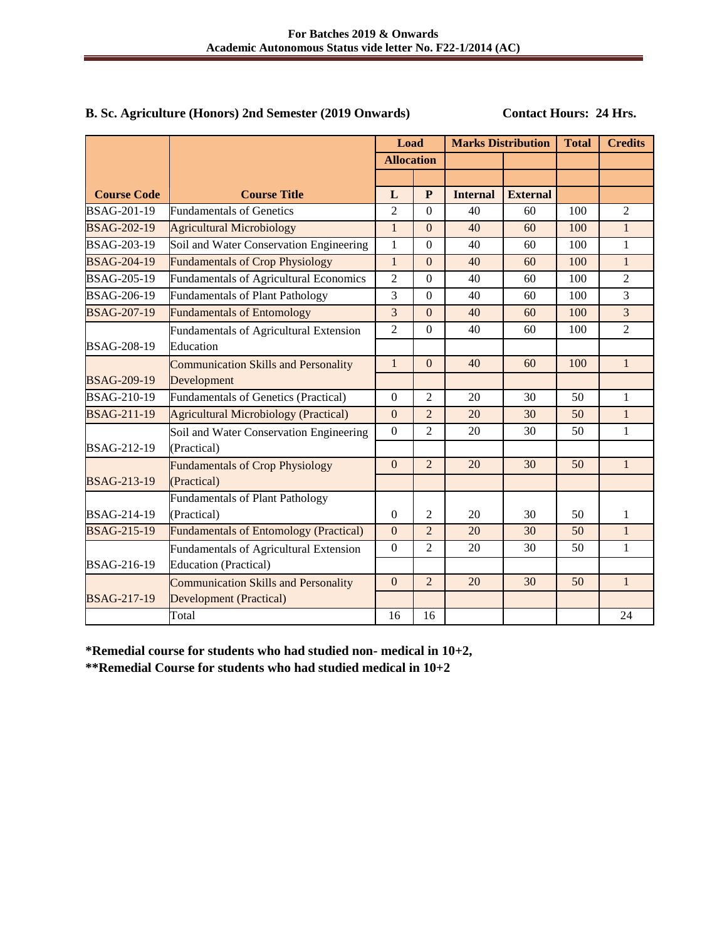# B. Sc. Agriculture (Honors) 2nd Semester (2019 Onwards) Contact Hours: 24 Hrs.

|                    |                                               | Load              |                  | <b>Marks Distribution</b> |                 | <b>Total</b> | <b>Credits</b> |
|--------------------|-----------------------------------------------|-------------------|------------------|---------------------------|-----------------|--------------|----------------|
|                    |                                               | <b>Allocation</b> |                  |                           |                 |              |                |
|                    |                                               |                   |                  |                           |                 |              |                |
| <b>Course Code</b> | <b>Course Title</b>                           | L                 | $\mathbf{P}$     | <b>Internal</b>           | <b>External</b> |              |                |
| BSAG-201-19        | <b>Fundamentals of Genetics</b>               | $\overline{2}$    | $\Omega$         | 40                        | 60              | 100          | $\overline{2}$ |
| <b>BSAG-202-19</b> | <b>Agricultural Microbiology</b>              | $\mathbf{1}$      | $\Omega$         | 40                        | 60              | 100          | $\mathbf{1}$   |
| <b>BSAG-203-19</b> | Soil and Water Conservation Engineering       | 1                 | $\Omega$         | 40                        | 60              | 100          | 1              |
| <b>BSAG-204-19</b> | <b>Fundamentals of Crop Physiology</b>        | $\mathbf{1}$      | $\overline{0}$   | 40                        | 60              | 100          | $\mathbf{1}$   |
| <b>BSAG-205-19</b> | <b>Fundamentals of Agricultural Economics</b> | $\overline{2}$    | $\boldsymbol{0}$ | 40                        | 60              | 100          | $\overline{2}$ |
| <b>BSAG-206-19</b> | <b>Fundamentals of Plant Pathology</b>        | 3                 | $\overline{0}$   | 40                        | 60              | 100          | 3              |
| <b>BSAG-207-19</b> | <b>Fundamentals of Entomology</b>             | 3                 | $\overline{0}$   | 40                        | 60              | 100          | $\overline{3}$ |
|                    | <b>Fundamentals of Agricultural Extension</b> | $\overline{c}$    | $\Omega$         | 40                        | 60              | 100          | $\mathfrak{D}$ |
| <b>BSAG-208-19</b> | Education                                     |                   |                  |                           |                 |              |                |
|                    | <b>Communication Skills and Personality</b>   | $\mathbf{1}$      | $\Omega$         | 40                        | 60              | 100          | $\mathbf{1}$   |
| <b>BSAG-209-19</b> | Development                                   |                   |                  |                           |                 |              |                |
| <b>BSAG-210-19</b> | <b>Fundamentals of Genetics (Practical)</b>   | $\Omega$          | $\overline{2}$   | 20                        | 30              | 50           | 1              |
| <b>BSAG-211-19</b> | Agricultural Microbiology (Practical)         | $\overline{0}$    | $\overline{2}$   | 20                        | 30              | 50           | $\mathbf{1}$   |
|                    | Soil and Water Conservation Engineering       | $\boldsymbol{0}$  | $\overline{2}$   | 20                        | 30              | 50           | 1              |
| BSAG-212-19        | (Practical)                                   |                   |                  |                           |                 |              |                |
|                    | <b>Fundamentals of Crop Physiology</b>        | $\theta$          | $\overline{2}$   | 20                        | 30              | 50           | $\mathbf{1}$   |
| <b>BSAG-213-19</b> | (Practical)                                   |                   |                  |                           |                 |              |                |
|                    | <b>Fundamentals of Plant Pathology</b>        |                   |                  |                           |                 |              |                |
| <b>BSAG-214-19</b> | (Practical)                                   | $\overline{0}$    | $\overline{2}$   | 20                        | 30              | 50           | $\mathbf{1}$   |
| <b>BSAG-215-19</b> | <b>Fundamentals of Entomology (Practical)</b> | $\mathbf{0}$      | $\overline{2}$   | 20                        | 30              | 50           | $\mathbf{1}$   |
|                    | Fundamentals of Agricultural Extension        | $\Omega$          | $\overline{2}$   | 20                        | 30              | 50           | 1              |
| <b>BSAG-216-19</b> | <b>Education (Practical)</b>                  |                   |                  |                           |                 |              |                |
|                    | <b>Communication Skills and Personality</b>   | $\overline{0}$    | $\overline{2}$   | 20                        | 30              | 50           | $\mathbf{1}$   |
| <b>BSAG-217-19</b> | <b>Development (Practical)</b>                |                   |                  |                           |                 |              |                |
|                    | Total                                         | 16                | 16               |                           |                 |              | 24             |

**\*Remedial course for students who had studied non- medical in 10+2,** 

**\*\*Remedial Course for students who had studied medical in 10+2**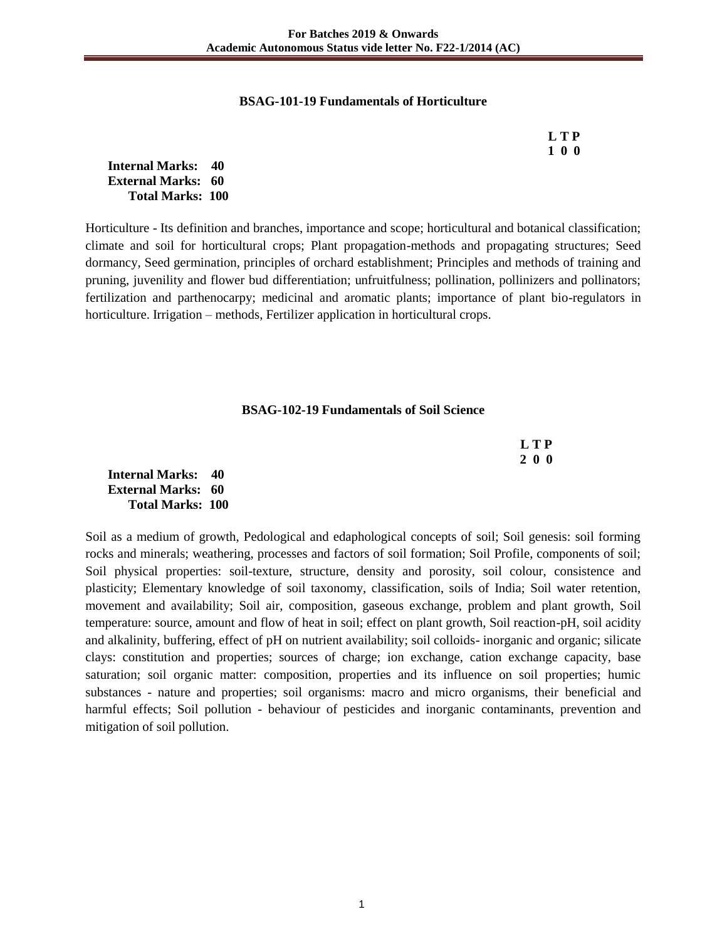#### **BSAG-101-19 Fundamentals of Horticulture**

|  | LTP |
|--|-----|
|  | 100 |

**Internal Marks: 40 External Marks: 60 Total Marks: 100** 

Horticulture - Its definition and branches, importance and scope; horticultural and botanical classification; climate and soil for horticultural crops; Plant propagation-methods and propagating structures; Seed dormancy, Seed germination, principles of orchard establishment; Principles and methods of training and pruning, juvenility and flower bud differentiation; unfruitfulness; pollination, pollinizers and pollinators; fertilization and parthenocarpy; medicinal and aromatic plants; importance of plant bio-regulators in horticulture. Irrigation – methods, Fertilizer application in horticultural crops.

#### **BSAG-102-19 Fundamentals of Soil Science**

|                         | <b>LTP</b> |
|-------------------------|------------|
|                         | 200        |
| nal Marks: 40           |            |
| $\mathbf{1} \mathbf{1}$ |            |

**Intern External Marks: 60 Total Marks: 100** 

Soil as a medium of growth, Pedological and edaphological concepts of soil; Soil genesis: soil forming rocks and minerals; weathering, processes and factors of soil formation; Soil Profile, components of soil; Soil physical properties: soil-texture, structure, density and porosity, soil colour, consistence and plasticity; Elementary knowledge of soil taxonomy, classification, soils of India; Soil water retention, movement and availability; Soil air, composition, gaseous exchange, problem and plant growth, Soil temperature: source, amount and flow of heat in soil; effect on plant growth, Soil reaction-pH, soil acidity and alkalinity, buffering, effect of pH on nutrient availability; soil colloids- inorganic and organic; silicate clays: constitution and properties; sources of charge; ion exchange, cation exchange capacity, base saturation; soil organic matter: composition, properties and its influence on soil properties; humic substances - nature and properties; soil organisms: macro and micro organisms, their beneficial and harmful effects; Soil pollution - behaviour of pesticides and inorganic contaminants, prevention and mitigation of soil pollution.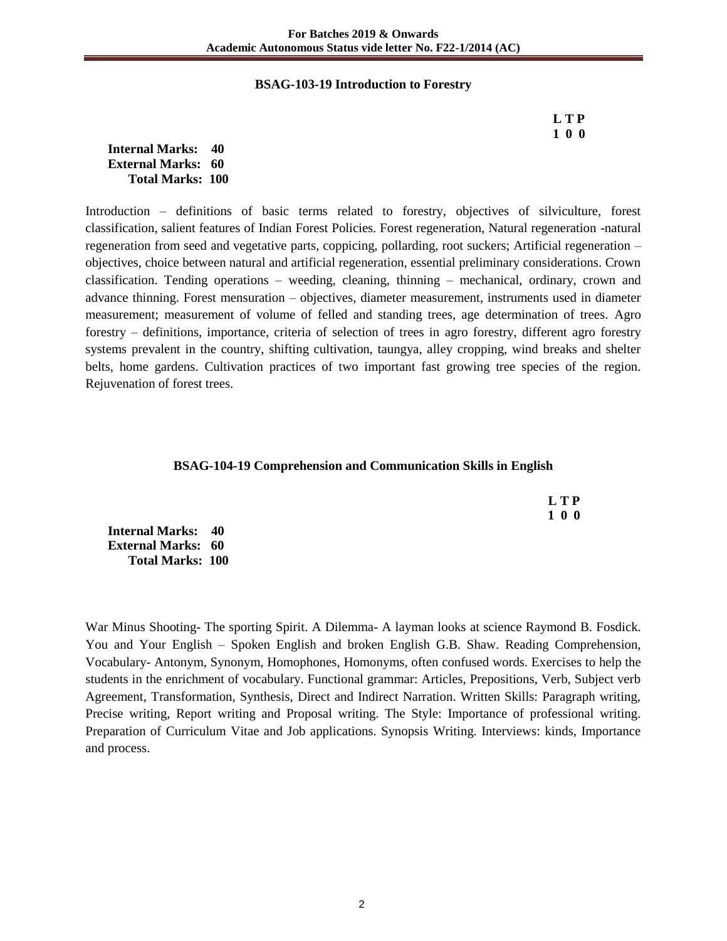#### **BSAG-103-19 Introduction to Forestry**

 **L T P 1 0 0**

**Internal Marks: 40 External Marks: 60 Total Marks: 100** 

Introduction – definitions of basic terms related to forestry, objectives of silviculture, forest classification, salient features of Indian Forest Policies. Forest regeneration, Natural regeneration -natural regeneration from seed and vegetative parts, coppicing, pollarding, root suckers; Artificial regeneration – objectives, choice between natural and artificial regeneration, essential preliminary considerations. Crown classification. Tending operations – weeding, cleaning, thinning – mechanical, ordinary, crown and advance thinning. Forest mensuration – objectives, diameter measurement, instruments used in diameter measurement; measurement of volume of felled and standing trees, age determination of trees. Agro forestry – definitions, importance, criteria of selection of trees in agro forestry, different agro forestry systems prevalent in the country, shifting cultivation, taungya, alley cropping, wind breaks and shelter belts, home gardens. Cultivation practices of two important fast growing tree species of the region. Rejuvenation of forest trees.

#### **BSAG-104-19 Comprehension and Communication Skills in English**

 **L T P 1 0 0**

**Internal Marks: 40 External Marks: 60 Total Marks: 100** 

War Minus Shooting- The sporting Spirit. A Dilemma- A layman looks at science Raymond B. Fosdick. You and Your English – Spoken English and broken English G.B. Shaw. Reading Comprehension, Vocabulary- Antonym, Synonym, Homophones, Homonyms, often confused words. Exercises to help the students in the enrichment of vocabulary. Functional grammar: Articles, Prepositions, Verb, Subject verb Agreement, Transformation, Synthesis, Direct and Indirect Narration. Written Skills: Paragraph writing, Precise writing, Report writing and Proposal writing. The Style: Importance of professional writing. Preparation of Curriculum Vitae and Job applications. Synopsis Writing. Interviews: kinds, Importance and process.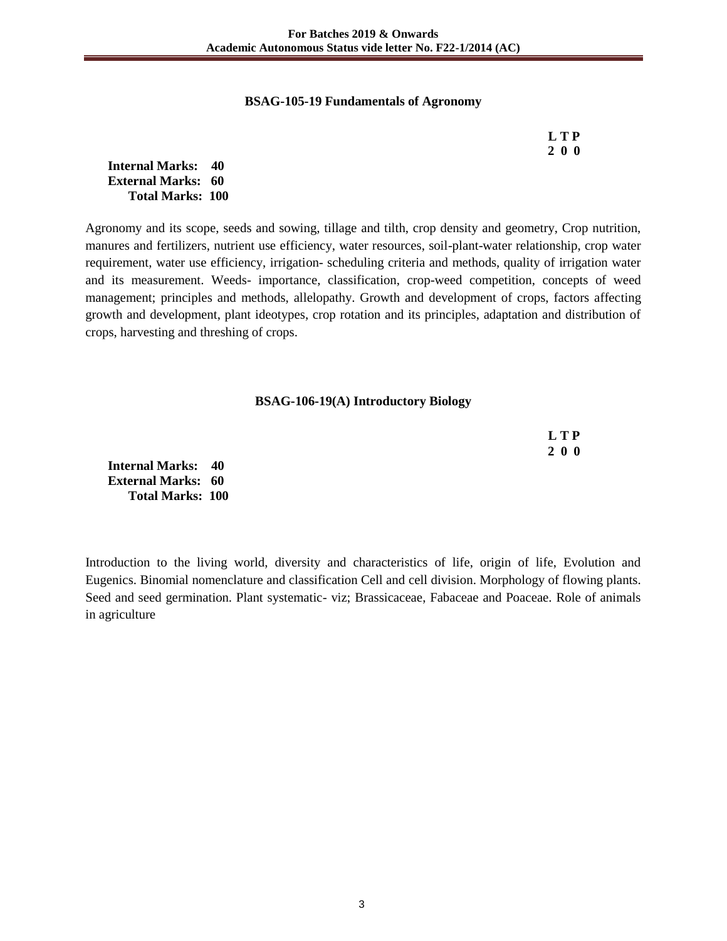#### **BSAG-105-19 Fundamentals of Agronomy**

| L T P |
|-------|
| 200   |

**Internal Marks: 40 External Marks: 60 Total Marks: 100** 

Agronomy and its scope, seeds and sowing, tillage and tilth, crop density and geometry, Crop nutrition, manures and fertilizers, nutrient use efficiency, water resources, soil-plant-water relationship, crop water requirement, water use efficiency, irrigation- scheduling criteria and methods, quality of irrigation water and its measurement. Weeds- importance, classification, crop-weed competition, concepts of weed management; principles and methods, allelopathy. Growth and development of crops, factors affecting growth and development, plant ideotypes, crop rotation and its principles, adaptation and distribution of crops, harvesting and threshing of crops.

#### **BSAG-106-19(A) Introductory Biology**

|                           | L T P      |
|---------------------------|------------|
|                           | <b>200</b> |
| <b>Internal Marks: 40</b> |            |
| <b>External Marks: 60</b> |            |
| <b>Total Marks: 100</b>   |            |

Introduction to the living world, diversity and characteristics of life, origin of life, Evolution and Eugenics. Binomial nomenclature and classification Cell and cell division. Morphology of flowing plants. Seed and seed germination. Plant systematic- viz; Brassicaceae, Fabaceae and Poaceae. Role of animals in agriculture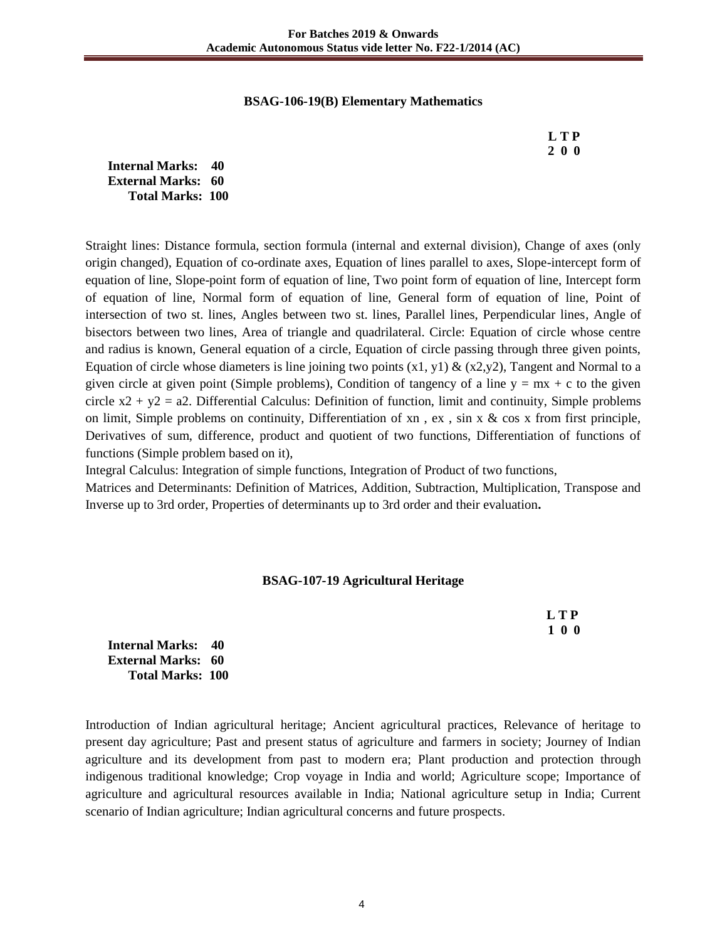#### **BSAG-106-19(B) Elementary Mathematics**

**Internal Marks: 40 External Marks: 60 Total Marks: 100** 

Straight lines: Distance formula, section formula (internal and external division), Change of axes (only origin changed), Equation of co-ordinate axes, Equation of lines parallel to axes, Slope-intercept form of equation of line, Slope-point form of equation of line, Two point form of equation of line, Intercept form of equation of line, Normal form of equation of line, General form of equation of line, Point of intersection of two st. lines, Angles between two st. lines, Parallel lines, Perpendicular lines, Angle of bisectors between two lines, Area of triangle and quadrilateral. Circle: Equation of circle whose centre and radius is known, General equation of a circle, Equation of circle passing through three given points, Equation of circle whose diameters is line joining two points  $(x1, y1)$  &  $(x2, y2)$ , Tangent and Normal to a given circle at given point (Simple problems), Condition of tangency of a line  $y = mx + c$  to the given circle  $x^2 + y^2 = a^2$ . Differential Calculus: Definition of function, limit and continuity, Simple problems on limit, Simple problems on continuity, Differentiation of  $xn$ ,  $ex$ ,  $sin x & cos x$  from first principle, Derivatives of sum, difference, product and quotient of two functions, Differentiation of functions of functions (Simple problem based on it),

Integral Calculus: Integration of simple functions, Integration of Product of two functions,

Matrices and Determinants: Definition of Matrices, Addition, Subtraction, Multiplication, Transpose and Inverse up to 3rd order, Properties of determinants up to 3rd order and their evaluation**.** 

## **BSAG-107-19 Agricultural Heritage**

 **L T P 1 0 0**

**Internal Marks: 40 External Marks: 60 Total Marks: 100** 

Introduction of Indian agricultural heritage; Ancient agricultural practices, Relevance of heritage to present day agriculture; Past and present status of agriculture and farmers in society; Journey of Indian agriculture and its development from past to modern era; Plant production and protection through indigenous traditional knowledge; Crop voyage in India and world; Agriculture scope; Importance of agriculture and agricultural resources available in India; National agriculture setup in India; Current scenario of Indian agriculture; Indian agricultural concerns and future prospects.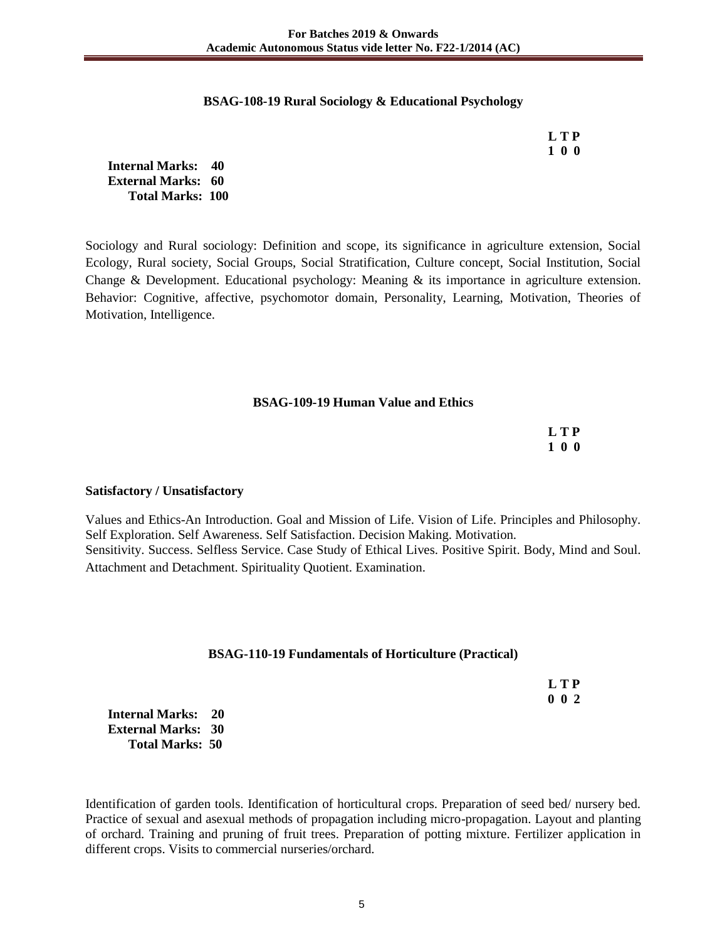#### **BSAG-108-19 Rural Sociology & Educational Psychology**

 **L T P 1 0 0**

**Internal Marks: 40 External Marks: 60 Total Marks: 100** 

Sociology and Rural sociology: Definition and scope, its significance in agriculture extension, Social Ecology, Rural society, Social Groups, Social Stratification, Culture concept, Social Institution, Social Change & Development. Educational psychology: Meaning & its importance in agriculture extension. Behavior: Cognitive, affective, psychomotor domain, Personality, Learning, Motivation, Theories of Motivation, Intelligence.

#### **BSAG-109-19 Human Value and Ethics**

 **L T P 1 0 0**

#### **Satisfactory / Unsatisfactory**

Values and Ethics-An Introduction. Goal and Mission of Life. Vision of Life. Principles and Philosophy. Self Exploration. Self Awareness. Self Satisfaction. Decision Making. Motivation. Sensitivity. Success. Selfless Service. Case Study of Ethical Lives. Positive Spirit. Body, Mind and Soul. Attachment and Detachment. Spirituality Quotient. Examination.

#### **BSAG-110-19 Fundamentals of Horticulture (Practical)**

|  | LTP         |
|--|-------------|
|  | $0 \t0 \t2$ |

**Internal Marks: 20 External Marks: 30 Total Marks: 50** 

Identification of garden tools. Identification of horticultural crops. Preparation of seed bed/ nursery bed. Practice of sexual and asexual methods of propagation including micro-propagation. Layout and planting of orchard. Training and pruning of fruit trees. Preparation of potting mixture. Fertilizer application in different crops. Visits to commercial nurseries/orchard.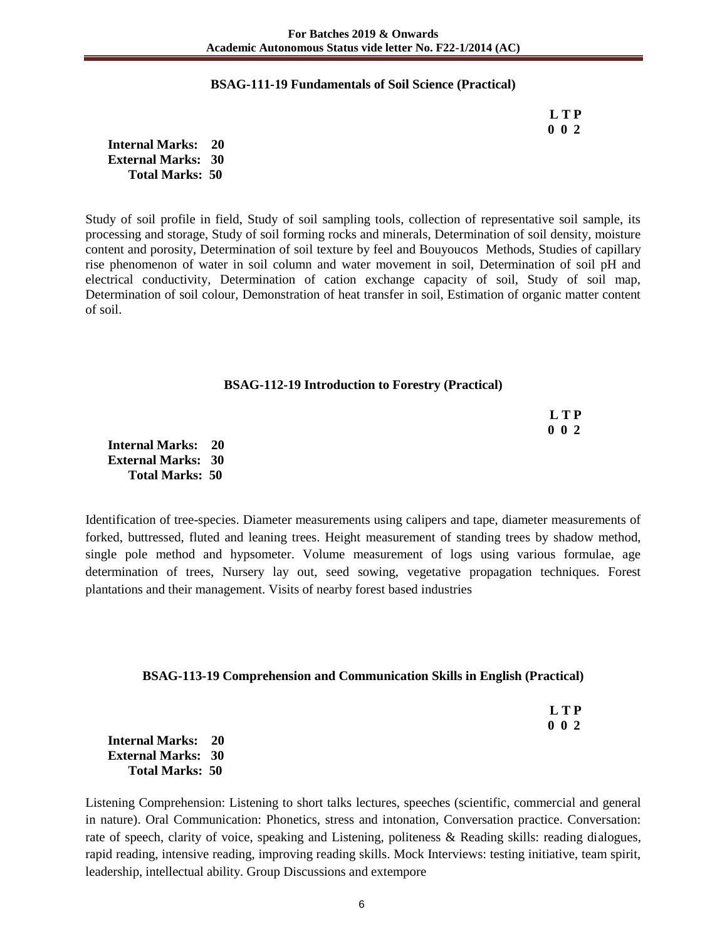#### **BSAG-111-19 Fundamentals of Soil Science (Practical)**

 **L T P 0 0 2**

**Internal Marks: 20 External Marks: 30 Total Marks: 50** 

Study of soil profile in field, Study of soil sampling tools, collection of representative soil sample, its processing and storage, Study of soil forming rocks and minerals, Determination of soil density, moisture content and porosity, Determination of soil texture by feel and Bouyoucos Methods, Studies of capillary rise phenomenon of water in soil column and water movement in soil, Determination of soil pH and electrical conductivity, Determination of cation exchange capacity of soil, Study of soil map, Determination of soil colour, Demonstration of heat transfer in soil, Estimation of organic matter content of soil.

#### **BSAG-112-19 Introduction to Forestry (Practical)**

| LTP         |
|-------------|
| $0\;\;0\;2$ |

**Internal Marks: 20 External Marks: 30 Total Marks: 50** 

Identification of tree-species. Diameter measurements using calipers and tape, diameter measurements of forked, buttressed, fluted and leaning trees. Height measurement of standing trees by shadow method, single pole method and hypsometer. Volume measurement of logs using various formulae, age determination of trees, Nursery lay out, seed sowing, vegetative propagation techniques. Forest plantations and their management. Visits of nearby forest based industries

#### **BSAG-113-19 Comprehension and Communication Skills in English (Practical)**

| <b>LTP</b> |
|------------|
| 002        |

**Internal Marks: 20 External Marks: 30 Total Marks: 50** 

Listening Comprehension: Listening to short talks lectures, speeches (scientific, commercial and general in nature). Oral Communication: Phonetics, stress and intonation, Conversation practice. Conversation: rate of speech, clarity of voice, speaking and Listening, politeness & Reading skills: reading dialogues, rapid reading, intensive reading, improving reading skills. Mock Interviews: testing initiative, team spirit, leadership, intellectual ability. Group Discussions and extempore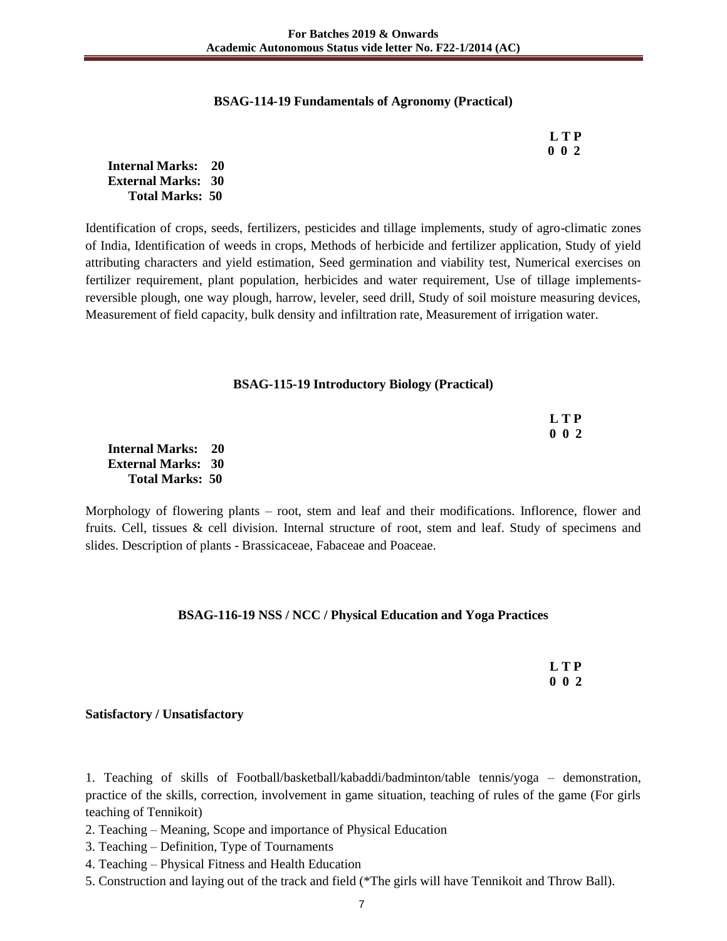#### **BSAG-114-19 Fundamentals of Agronomy (Practical)**

| <b>LTP</b> |
|------------|
| $0\;0\;2$  |

**Internal Marks: 20 External Marks: 30 Total Marks: 50** 

Identification of crops, seeds, fertilizers, pesticides and tillage implements, study of agro-climatic zones of India, Identification of weeds in crops, Methods of herbicide and fertilizer application, Study of yield attributing characters and yield estimation, Seed germination and viability test, Numerical exercises on fertilizer requirement, plant population, herbicides and water requirement, Use of tillage implementsreversible plough, one way plough, harrow, leveler, seed drill, Study of soil moisture measuring devices, Measurement of field capacity, bulk density and infiltration rate, Measurement of irrigation water.

#### **BSAG-115-19 Introductory Biology (Practical)**

|               | <b>LTP</b>  |
|---------------|-------------|
|               | $0\;\;0\;2$ |
| al Marks: 20  |             |
| al Marko - 20 |             |

**Internal M External Marks: 30 Total Marks: 50** 

Morphology of flowering plants – root, stem and leaf and their modifications. Inflorence, flower and fruits. Cell, tissues & cell division. Internal structure of root, stem and leaf. Study of specimens and slides. Description of plants - Brassicaceae, Fabaceae and Poaceae.

#### **BSAG-116-19 NSS / NCC / Physical Education and Yoga Practices**

 **L T P 0 0 2**

#### **Satisfactory / Unsatisfactory**

1. Teaching of skills of Football/basketball/kabaddi/badminton/table tennis/yoga – demonstration, practice of the skills, correction, involvement in game situation, teaching of rules of the game (For girls teaching of Tennikoit)

- 2. Teaching Meaning, Scope and importance of Physical Education
- 3. Teaching Definition, Type of Tournaments
- 4. Teaching Physical Fitness and Health Education
- 5. Construction and laying out of the track and field (\*The girls will have Tennikoit and Throw Ball).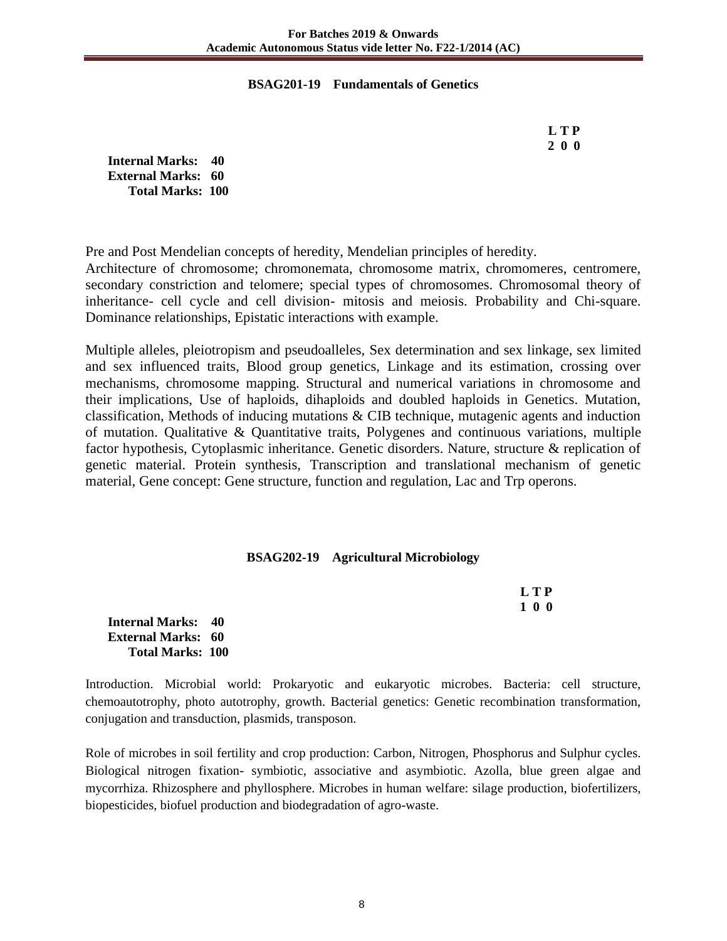## **BSAG201-19 Fundamentals of Genetics**

| L T P |
|-------|
| 200   |

**Internal Marks: 40 External Marks: 60 Total Marks: 100** 

**Total Marks: 100** 

Pre and Post Mendelian concepts of heredity, Mendelian principles of heredity. Architecture of chromosome; chromonemata, chromosome matrix, chromomeres, centromere, secondary constriction and telomere; special types of chromosomes. Chromosomal theory of inheritance- cell cycle and cell division- mitosis and meiosis. Probability and Chi-square. Dominance relationships, Epistatic interactions with example.

Multiple alleles, pleiotropism and pseudoalleles, Sex determination and sex linkage, sex limited and sex influenced traits, Blood group genetics, Linkage and its estimation, crossing over mechanisms, chromosome mapping. Structural and numerical variations in chromosome and their implications, Use of haploids, dihaploids and doubled haploids in Genetics. Mutation, classification, Methods of inducing mutations & CIB technique, mutagenic agents and induction of mutation. Qualitative & Quantitative traits, Polygenes and continuous variations, multiple factor hypothesis, Cytoplasmic inheritance. Genetic disorders. Nature, structure & replication of genetic material. Protein synthesis, Transcription and translational mechanism of genetic material, Gene concept: Gene structure, function and regulation, Lac and Trp operons.

## **BSAG202-19 Agricultural Microbiology**

|                              | L T P |
|------------------------------|-------|
|                              | 100   |
| <b>Internal Marks: 40</b>    |       |
| <b>External Marks:    60</b> |       |

Introduction. Microbial world: Prokaryotic and eukaryotic microbes. Bacteria: cell structure, chemoautotrophy, photo autotrophy, growth. Bacterial genetics: Genetic recombination transformation, conjugation and transduction, plasmids, transposon.

Role of microbes in soil fertility and crop production: Carbon, Nitrogen, Phosphorus and Sulphur cycles. Biological nitrogen fixation- symbiotic, associative and asymbiotic. Azolla, blue green algae and mycorrhiza. Rhizosphere and phyllosphere. Microbes in human welfare: silage production, biofertilizers, biopesticides, biofuel production and biodegradation of agro-waste.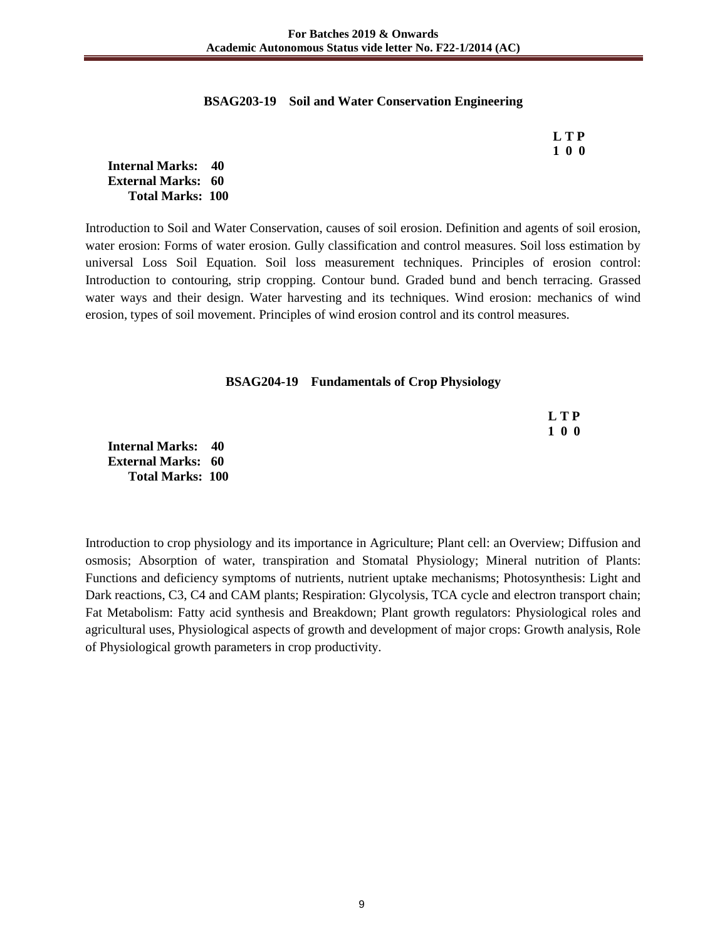#### **BSAG203-19 Soil and Water Conservation Engineering**

| LTP |
|-----|
| 100 |

**Internal Marks: 40 External Marks: 60 Total Marks: 100** 

Introduction to Soil and Water Conservation, causes of soil erosion. Definition and agents of soil erosion, water erosion: Forms of water erosion. Gully classification and control measures. Soil loss estimation by universal Loss Soil Equation. Soil loss measurement techniques. Principles of erosion control: Introduction to contouring, strip cropping. Contour bund. Graded bund and bench terracing. Grassed water ways and their design. Water harvesting and its techniques. Wind erosion: mechanics of wind erosion, types of soil movement. Principles of wind erosion control and its control measures.

#### **BSAG204-19 Fundamentals of Crop Physiology**

|              |  |  |  | <b>LTP</b> |
|--------------|--|--|--|------------|
|              |  |  |  | 100        |
| al Marks: 40 |  |  |  |            |

**Internal Marks: 40 External Marks: 60 Total Marks: 100** 

Introduction to crop physiology and its importance in Agriculture; Plant cell: an Overview; Diffusion and osmosis; Absorption of water, transpiration and Stomatal Physiology; Mineral nutrition of Plants: Functions and deficiency symptoms of nutrients, nutrient uptake mechanisms; Photosynthesis: Light and Dark reactions, C3, C4 and CAM plants; Respiration: Glycolysis, TCA cycle and electron transport chain; Fat Metabolism: Fatty acid synthesis and Breakdown; Plant growth regulators: Physiological roles and agricultural uses, Physiological aspects of growth and development of major crops: Growth analysis, Role of Physiological growth parameters in crop productivity.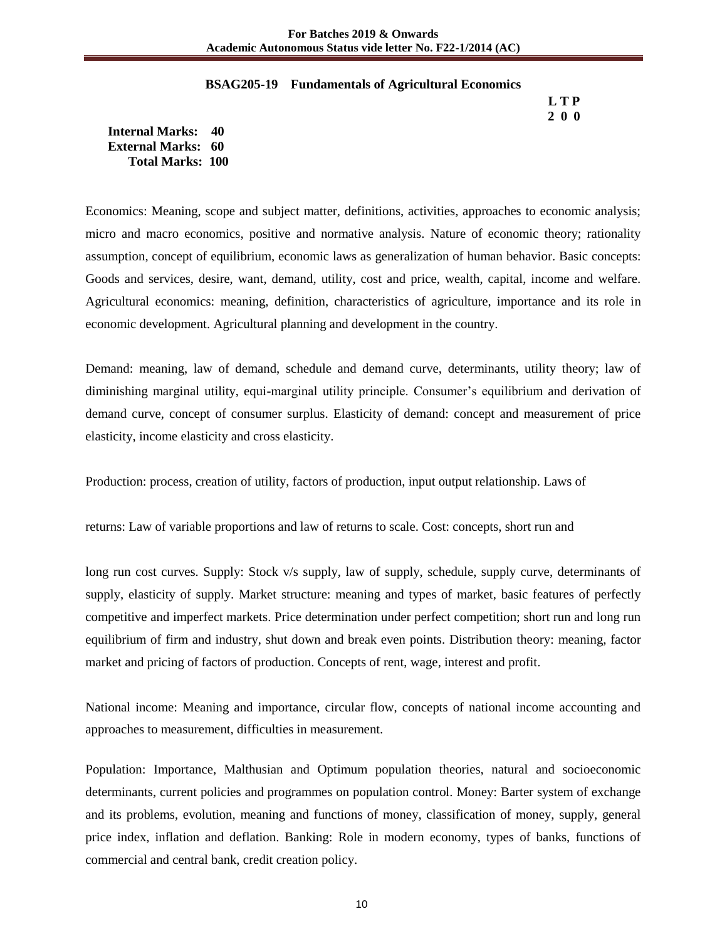#### **BSAG205-19 Fundamentals of Agricultural Economics**

 **L T P 2 0 0**

**Internal Marks: 40 External Marks: 60 Total Marks: 100** 

Economics: Meaning, scope and subject matter, definitions, activities, approaches to economic analysis; micro and macro economics, positive and normative analysis. Nature of economic theory; rationality assumption, concept of equilibrium, economic laws as generalization of human behavior. Basic concepts: Goods and services, desire, want, demand, utility, cost and price, wealth, capital, income and welfare. Agricultural economics: meaning, definition, characteristics of agriculture, importance and its role in economic development. Agricultural planning and development in the country.

Demand: meaning, law of demand, schedule and demand curve, determinants, utility theory; law of diminishing marginal utility, equi-marginal utility principle. Consumer's equilibrium and derivation of demand curve, concept of consumer surplus. Elasticity of demand: concept and measurement of price elasticity, income elasticity and cross elasticity.

Production: process, creation of utility, factors of production, input output relationship. Laws of

returns: Law of variable proportions and law of returns to scale. Cost: concepts, short run and

long run cost curves. Supply: Stock v/s supply, law of supply, schedule, supply curve, determinants of supply, elasticity of supply. Market structure: meaning and types of market, basic features of perfectly competitive and imperfect markets. Price determination under perfect competition; short run and long run equilibrium of firm and industry, shut down and break even points. Distribution theory: meaning, factor market and pricing of factors of production. Concepts of rent, wage, interest and profit.

National income: Meaning and importance, circular flow, concepts of national income accounting and approaches to measurement, difficulties in measurement.

Population: Importance, Malthusian and Optimum population theories, natural and socioeconomic determinants, current policies and programmes on population control. Money: Barter system of exchange and its problems, evolution, meaning and functions of money, classification of money, supply, general price index, inflation and deflation. Banking: Role in modern economy, types of banks, functions of commercial and central bank, credit creation policy.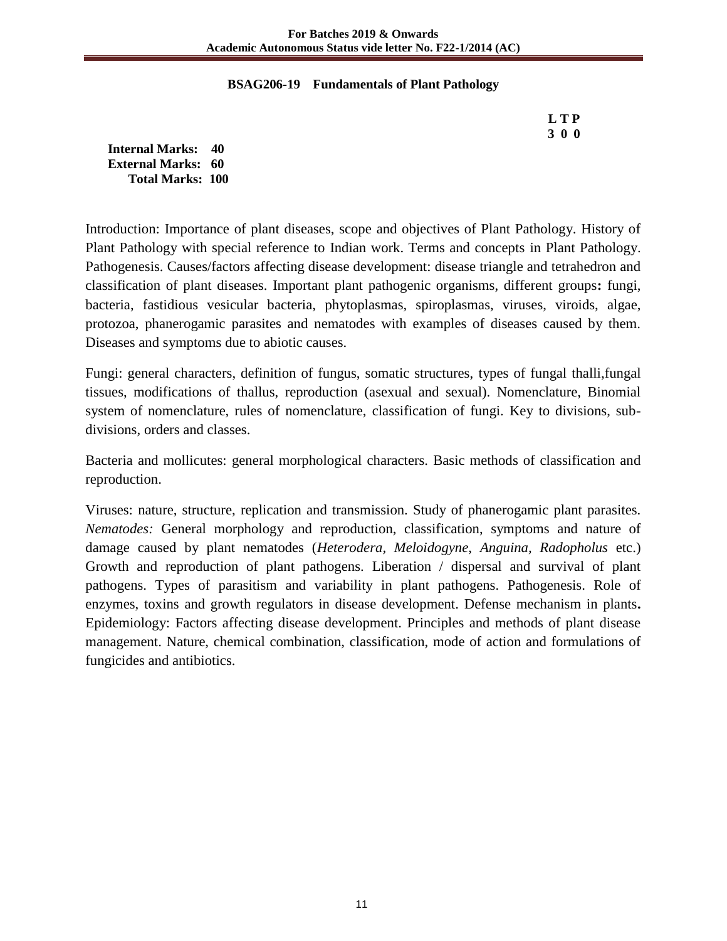## **BSAG206-19 Fundamentals of Plant Pathology**

 **L T P 3 0 0**

**Internal Marks: 40 External Marks: 60 Total Marks: 100** 

Introduction: Importance of plant diseases, scope and objectives of Plant Pathology. History of Plant Pathology with special reference to Indian work. Terms and concepts in Plant Pathology. Pathogenesis. Causes/factors affecting disease development: disease triangle and tetrahedron and classification of plant diseases. Important plant pathogenic organisms, different groups**:** fungi, bacteria, fastidious vesicular bacteria, phytoplasmas, spiroplasmas, viruses, viroids, algae, protozoa, phanerogamic parasites and nematodes with examples of diseases caused by them. Diseases and symptoms due to abiotic causes.

Fungi: general characters, definition of fungus, somatic structures, types of fungal thalli,fungal tissues, modifications of thallus, reproduction (asexual and sexual). Nomenclature, Binomial system of nomenclature, rules of nomenclature, classification of fungi. Key to divisions, subdivisions, orders and classes.

Bacteria and mollicutes: general morphological characters. Basic methods of classification and reproduction.

Viruses: nature, structure, replication and transmission. Study of phanerogamic plant parasites. *Nematodes:* General morphology and reproduction, classification, symptoms and nature of damage caused by plant nematodes (*Heterodera, Meloidogyne*, *Anguina, Radopholus* etc.) Growth and reproduction of plant pathogens. Liberation / dispersal and survival of plant pathogens. Types of parasitism and variability in plant pathogens. Pathogenesis. Role of enzymes, toxins and growth regulators in disease development. Defense mechanism in plants**.** Epidemiology: Factors affecting disease development. Principles and methods of plant disease management. Nature, chemical combination, classification, mode of action and formulations of fungicides and antibiotics.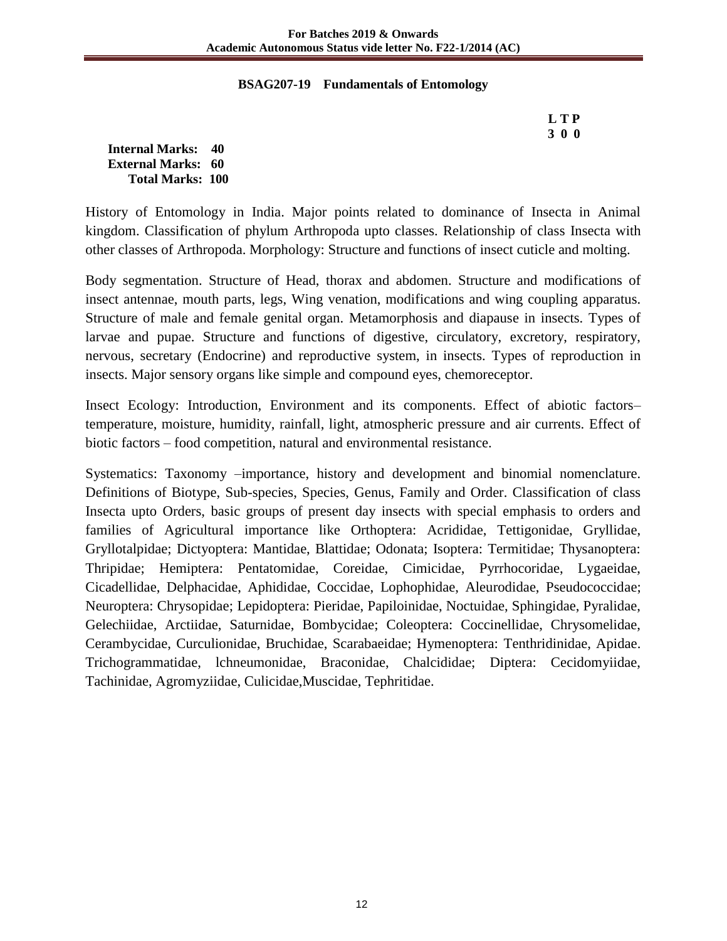## **BSAG207-19 Fundamentals of Entomology**

 **L T P 3 0 0**

**Internal Marks: 40 External Marks: 60 Total Marks: 100** 

History of Entomology in India. Major points related to dominance of Insecta in Animal kingdom. Classification of phylum Arthropoda upto classes. Relationship of class Insecta with other classes of Arthropoda. Morphology: Structure and functions of insect cuticle and molting.

Body segmentation. Structure of Head, thorax and abdomen. Structure and modifications of insect antennae, mouth parts, legs, Wing venation, modifications and wing coupling apparatus. Structure of male and female genital organ. Metamorphosis and diapause in insects. Types of larvae and pupae. Structure and functions of digestive, circulatory, excretory, respiratory, nervous, secretary (Endocrine) and reproductive system, in insects. Types of reproduction in insects. Major sensory organs like simple and compound eyes, chemoreceptor.

Insect Ecology: Introduction, Environment and its components. Effect of abiotic factors– temperature, moisture, humidity, rainfall, light, atmospheric pressure and air currents. Effect of biotic factors – food competition, natural and environmental resistance.

Systematics: Taxonomy –importance, history and development and binomial nomenclature. Definitions of Biotype, Sub-species, Species, Genus, Family and Order. Classification of class Insecta upto Orders, basic groups of present day insects with special emphasis to orders and families of Agricultural importance like Orthoptera: Acrididae, Tettigonidae, Gryllidae, Gryllotalpidae; Dictyoptera: Mantidae, Blattidae; Odonata; Isoptera: Termitidae; Thysanoptera: Thripidae; Hemiptera: Pentatomidae, Coreidae, Cimicidae, Pyrrhocoridae, Lygaeidae, Cicadellidae, Delphacidae, Aphididae, Coccidae, Lophophidae, Aleurodidae, Pseudococcidae; Neuroptera: Chrysopidae; Lepidoptera: Pieridae, Papiloinidae, Noctuidae, Sphingidae, Pyralidae, Gelechiidae, Arctiidae, Saturnidae, Bombycidae; Coleoptera: Coccinellidae, Chrysomelidae, Cerambycidae, Curculionidae, Bruchidae, Scarabaeidae; Hymenoptera: Tenthridinidae, Apidae. Trichogrammatidae, lchneumonidae, Braconidae, Chalcididae; Diptera: Cecidomyiidae, Tachinidae, Agromyziidae, Culicidae,Muscidae, Tephritidae.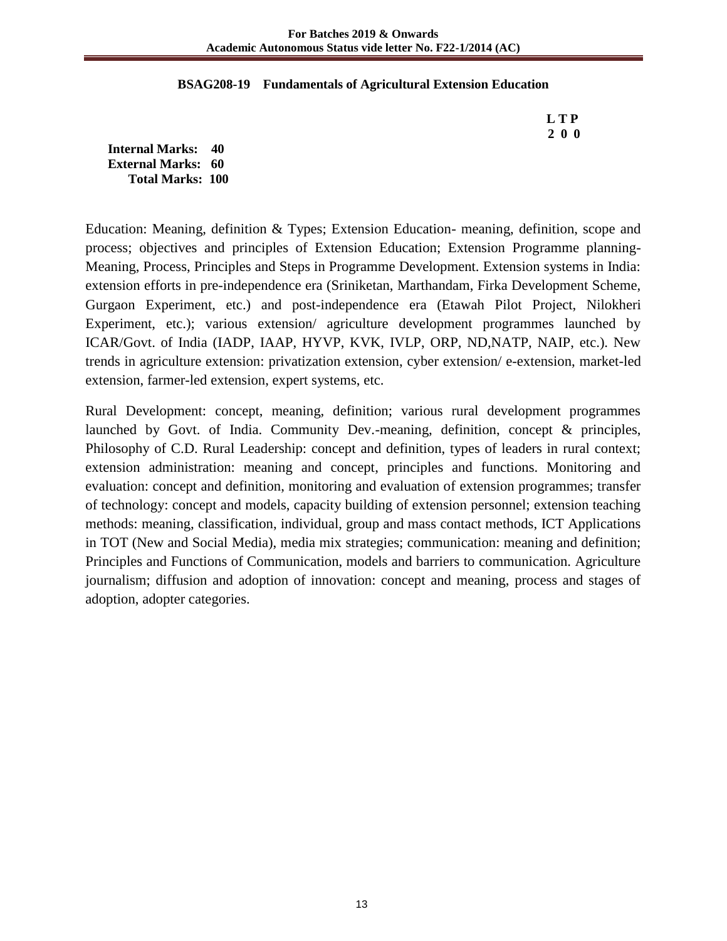## **BSAG208-19 Fundamentals of Agricultural Extension Education**

 **L T P 2 0 0**

**Internal Marks: 40 External Marks: 60 Total Marks: 100** 

Education: Meaning, definition & Types; Extension Education- meaning, definition, scope and process; objectives and principles of Extension Education; Extension Programme planning-Meaning, Process, Principles and Steps in Programme Development. Extension systems in India: extension efforts in pre-independence era (Sriniketan, Marthandam, Firka Development Scheme, Gurgaon Experiment, etc.) and post-independence era (Etawah Pilot Project, Nilokheri Experiment, etc.); various extension/ agriculture development programmes launched by ICAR/Govt. of India (IADP, IAAP, HYVP, KVK, IVLP, ORP, ND,NATP, NAIP, etc.). New trends in agriculture extension: privatization extension, cyber extension/ e-extension, market-led extension, farmer-led extension, expert systems, etc.

Rural Development: concept, meaning, definition; various rural development programmes launched by Govt. of India. Community Dev.-meaning, definition, concept & principles, Philosophy of C.D. Rural Leadership: concept and definition, types of leaders in rural context; extension administration: meaning and concept, principles and functions. Monitoring and evaluation: concept and definition, monitoring and evaluation of extension programmes; transfer of technology: concept and models, capacity building of extension personnel; extension teaching methods: meaning, classification, individual, group and mass contact methods, ICT Applications in TOT (New and Social Media), media mix strategies; communication: meaning and definition; Principles and Functions of Communication, models and barriers to communication. Agriculture journalism; diffusion and adoption of innovation: concept and meaning, process and stages of adoption, adopter categories.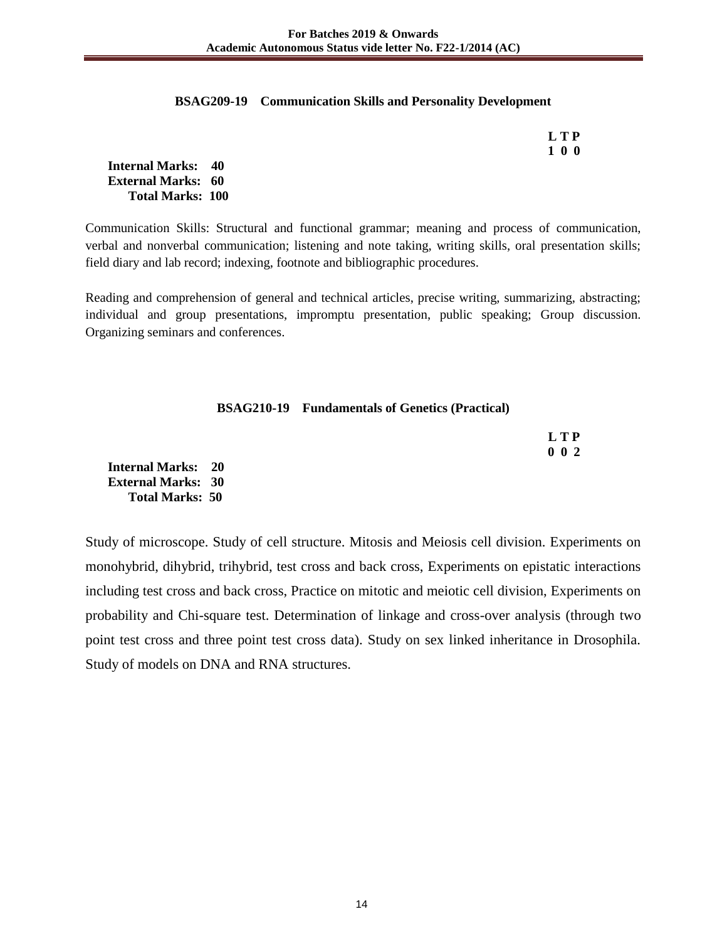## **BSAG209-19 Communication Skills and Personality Development**

| LTP |
|-----|
| 100 |

**Internal Marks: 40 External Marks: 60 Total Marks: 100** 

**Total Marks: 50** 

Communication Skills: Structural and functional grammar; meaning and process of communication, verbal and nonverbal communication; listening and note taking, writing skills, oral presentation skills; field diary and lab record; indexing, footnote and bibliographic procedures.

Reading and comprehension of general and technical articles, precise writing, summarizing, abstracting; individual and group presentations, impromptu presentation, public speaking; Group discussion. Organizing seminars and conferences.

| <b>BSAG210-19</b> Fundamentals of Genetics (Practical) |  |  |  |
|--------------------------------------------------------|--|--|--|
|--------------------------------------------------------|--|--|--|

|                           | <b>LTP</b> |
|---------------------------|------------|
|                           | 002        |
| <b>Internal Marks: 20</b> |            |
| <b>External Marks: 30</b> |            |

Study of microscope. Study of cell structure. Mitosis and Meiosis cell division. Experiments on monohybrid, dihybrid, trihybrid, test cross and back cross, Experiments on epistatic interactions including test cross and back cross, Practice on mitotic and meiotic cell division, Experiments on probability and Chi-square test. Determination of linkage and cross-over analysis (through two point test cross and three point test cross data). Study on sex linked inheritance in Drosophila. Study of models on DNA and RNA structures.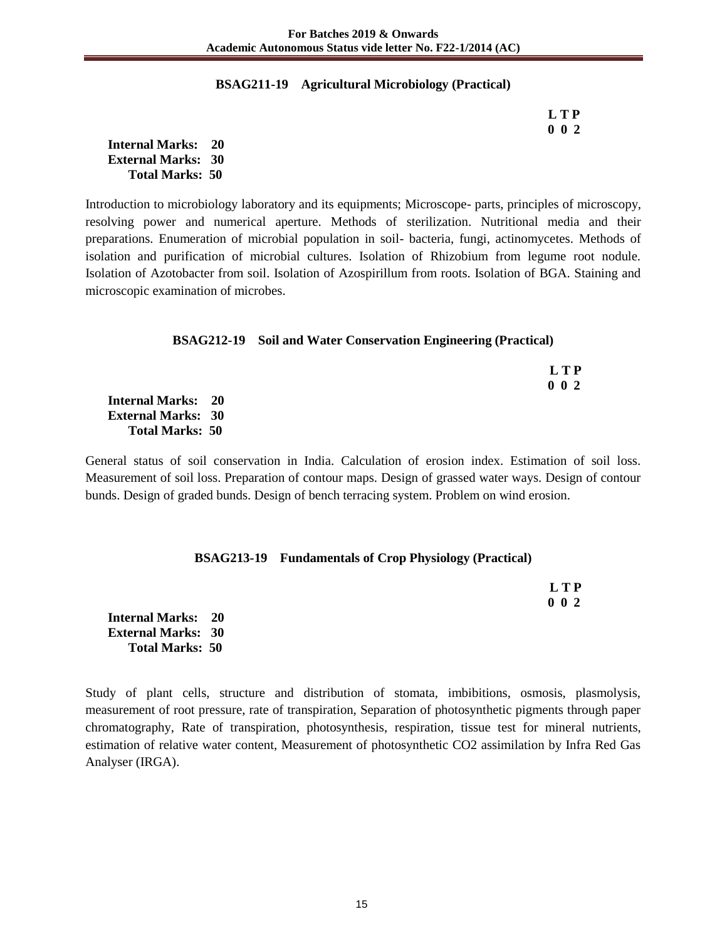## **BSAG211-19 Agricultural Microbiology (Practical)**

 **L T P 0 0 2**

**Internal Marks: 20 External Marks: 30 Total Marks: 50** 

Introduction to microbiology laboratory and its equipments; Microscope- parts, principles of microscopy, resolving power and numerical aperture. Methods of sterilization. Nutritional media and their preparations. Enumeration of microbial population in soil- bacteria, fungi, actinomycetes. Methods of isolation and purification of microbial cultures. Isolation of Rhizobium from legume root nodule. Isolation of Azotobacter from soil. Isolation of Azospirillum from roots. Isolation of BGA. Staining and microscopic examination of microbes.

## **BSAG212-19 Soil and Water Conservation Engineering (Practical)**

|                           | L T P         |
|---------------------------|---------------|
|                           | $0 \t 0 \t 2$ |
| <b>Internal Marks: 20</b> |               |
| <b>External Marks: 30</b> |               |
| <b>Total Marks: 50</b>    |               |

General status of soil conservation in India. Calculation of erosion index. Estimation of soil loss. Measurement of soil loss. Preparation of contour maps. Design of grassed water ways. Design of contour bunds. Design of graded bunds. Design of bench terracing system. Problem on wind erosion.

## **BSAG213-19 Fundamentals of Crop Physiology (Practical)**

 **L T P 0 0 2**

**Internal Marks: 20 External Marks: 30 Total Marks: 50** 

Study of plant cells, structure and distribution of stomata, imbibitions, osmosis, plasmolysis, measurement of root pressure, rate of transpiration, Separation of photosynthetic pigments through paper chromatography, Rate of transpiration, photosynthesis, respiration, tissue test for mineral nutrients, estimation of relative water content, Measurement of photosynthetic CO2 assimilation by Infra Red Gas Analyser (IRGA).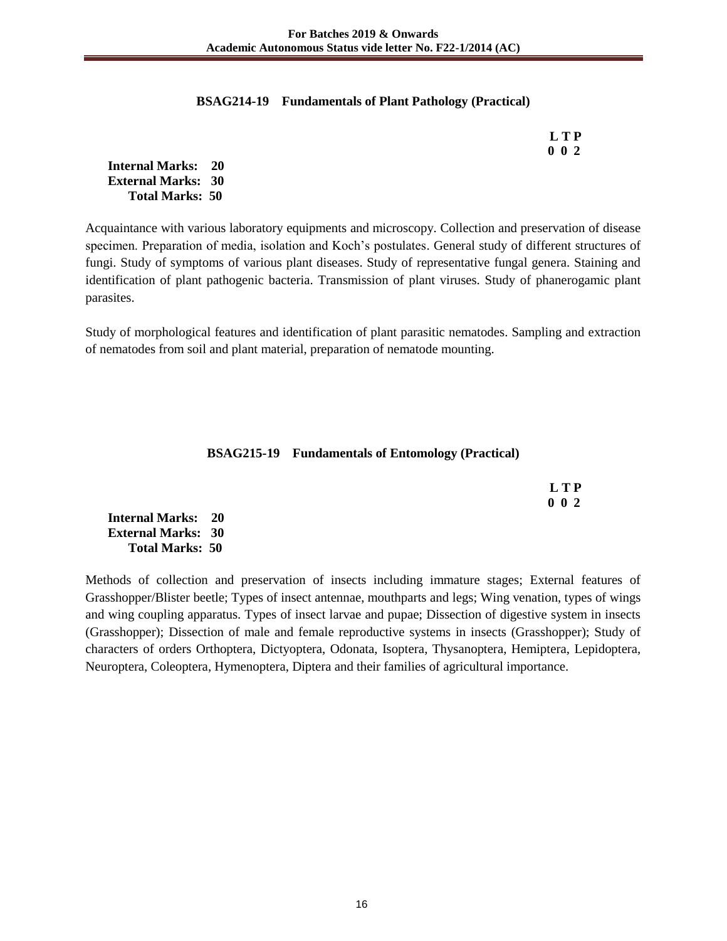## **BSAG214-19 Fundamentals of Plant Pathology (Practical)**

 **L T P 0 0 2**

**Internal Marks: 20 External Marks: 30 Total Marks: 50** 

Acquaintance with various laboratory equipments and microscopy. Collection and preservation of disease specimen. Preparation of media, isolation and Koch's postulates. General study of different structures of fungi. Study of symptoms of various plant diseases. Study of representative fungal genera. Staining and identification of plant pathogenic bacteria. Transmission of plant viruses. Study of phanerogamic plant parasites.

Study of morphological features and identification of plant parasitic nematodes. Sampling and extraction of nematodes from soil and plant material, preparation of nematode mounting.

## **BSAG215-19 Fundamentals of Entomology (Practical)**

| LTP         |
|-------------|
| $0\;\;0\;2$ |

**Internal Marks: 20 External Marks: 30 Total Marks: 50** 

Methods of collection and preservation of insects including immature stages; External features of Grasshopper/Blister beetle; Types of insect antennae, mouthparts and legs; Wing venation, types of wings and wing coupling apparatus. Types of insect larvae and pupae; Dissection of digestive system in insects (Grasshopper); Dissection of male and female reproductive systems in insects (Grasshopper); Study of characters of orders Orthoptera, Dictyoptera, Odonata, Isoptera, Thysanoptera, Hemiptera, Lepidoptera, Neuroptera, Coleoptera, Hymenoptera, Diptera and their families of agricultural importance.